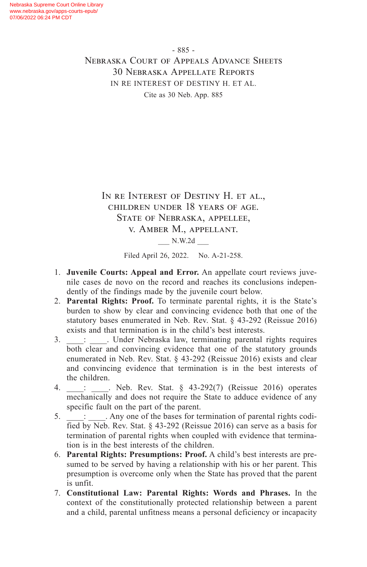IN RE INTEREST OF DESTINY H. ET AL., children under 18 years of age. State of Nebraska, appellee, v. Amber M., appellant.

\_\_\_ N.W.2d \_\_\_

Filed April 26, 2022. No. A-21-258.

- 1. **Juvenile Courts: Appeal and Error.** An appellate court reviews juvenile cases de novo on the record and reaches its conclusions independently of the findings made by the juvenile court below.
- 2. **Parental Rights: Proof.** To terminate parental rights, it is the State's burden to show by clear and convincing evidence both that one of the statutory bases enumerated in Neb. Rev. Stat. § 43-292 (Reissue 2016) exists and that termination is in the child's best interests.
- 3.  $\vdots$  . Under Nebraska law, terminating parental rights requires both clear and convincing evidence that one of the statutory grounds enumerated in Neb. Rev. Stat. § 43-292 (Reissue 2016) exists and clear and convincing evidence that termination is in the best interests of the children.
- 4. \_\_\_\_: \_\_\_\_. Neb. Rev. Stat. § 43-292(7) (Reissue 2016) operates mechanically and does not require the State to adduce evidence of any specific fault on the part of the parent.
- 5.  $\therefore$  Any one of the bases for termination of parental rights codified by Neb. Rev. Stat. § 43-292 (Reissue 2016) can serve as a basis for termination of parental rights when coupled with evidence that termination is in the best interests of the children.
- 6. **Parental Rights: Presumptions: Proof.** A child's best interests are presumed to be served by having a relationship with his or her parent. This presumption is overcome only when the State has proved that the parent is unfit.
- 7. **Constitutional Law: Parental Rights: Words and Phrases.** In the context of the constitutionally protected relationship between a parent and a child, parental unfitness means a personal deficiency or incapacity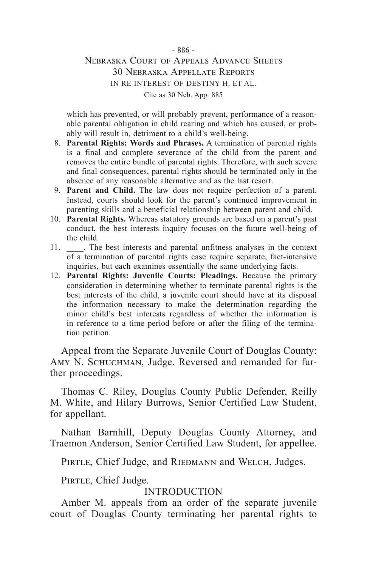which has prevented, or will probably prevent, performance of a reasonable parental obligation in child rearing and which has caused, or probably will result in, detriment to a child's well-being.

- 8. **Parental Rights: Words and Phrases.** A termination of parental rights is a final and complete severance of the child from the parent and removes the entire bundle of parental rights. Therefore, with such severe and final consequences, parental rights should be terminated only in the absence of any reasonable alternative and as the last resort.
- 9. **Parent and Child.** The law does not require perfection of a parent. Instead, courts should look for the parent's continued improvement in parenting skills and a beneficial relationship between parent and child.
- 10. **Parental Rights.** Whereas statutory grounds are based on a parent's past conduct, the best interests inquiry focuses on the future well-being of the child.
- 11. \_\_\_\_. The best interests and parental unfitness analyses in the context of a termination of parental rights case require separate, fact-intensive inquiries, but each examines essentially the same underlying facts.
- 12. **Parental Rights: Juvenile Courts: Pleadings.** Because the primary consideration in determining whether to terminate parental rights is the best interests of the child, a juvenile court should have at its disposal the information necessary to make the determination regarding the minor child's best interests regardless of whether the information is in reference to a time period before or after the filing of the termination petition.

Appeal from the Separate Juvenile Court of Douglas County: AMY N. SCHUCHMAN, Judge. Reversed and remanded for further proceedings.

Thomas C. Riley, Douglas County Public Defender, Reilly M. White, and Hilary Burrows, Senior Certified Law Student, for appellant.

Nathan Barnhill, Deputy Douglas County Attorney, and Traemon Anderson, Senior Certified Law Student, for appellee.

PIRTLE, Chief Judge, and RIEDMANN and WELCH, Judges.

PIRTLE, Chief Judge.

### INTRODUCTION

Amber M. appeals from an order of the separate juvenile court of Douglas County terminating her parental rights to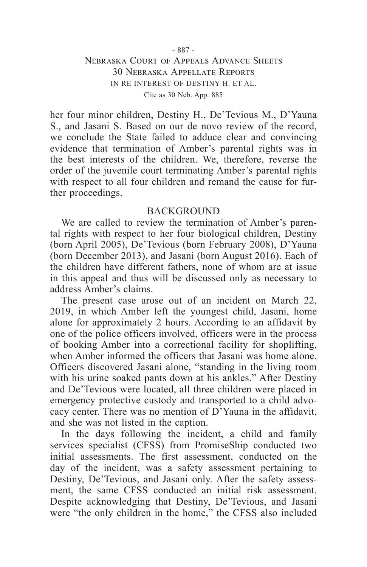#### - 887 -

### Nebraska Court of Appeals Advance Sheets 30 Nebraska Appellate Reports IN RE INTEREST OF DESTINY H. ET AL. Cite as 30 Neb. App. 885

her four minor children, Destiny H., De'Tevious M., D'Yauna S., and Jasani S. Based on our de novo review of the record, we conclude the State failed to adduce clear and convincing evidence that termination of Amber's parental rights was in the best interests of the children. We, therefore, reverse the order of the juvenile court terminating Amber's parental rights with respect to all four children and remand the cause for further proceedings.

#### **BACKGROUND**

We are called to review the termination of Amber's parental rights with respect to her four biological children, Destiny (born April 2005), De'Tevious (born February 2008), D'Yauna (born December 2013), and Jasani (born August 2016). Each of the children have different fathers, none of whom are at issue in this appeal and thus will be discussed only as necessary to address Amber's claims.

The present case arose out of an incident on March 22, 2019, in which Amber left the youngest child, Jasani, home alone for approximately 2 hours. According to an affidavit by one of the police officers involved, officers were in the process of booking Amber into a correctional facility for shoplifting, when Amber informed the officers that Jasani was home alone. Officers discovered Jasani alone, "standing in the living room with his urine soaked pants down at his ankles." After Destiny and De'Tevious were located, all three children were placed in emergency protective custody and transported to a child advocacy center. There was no mention of D'Yauna in the affidavit, and she was not listed in the caption.

In the days following the incident, a child and family services specialist (CFSS) from PromiseShip conducted two initial assessments. The first assessment, conducted on the day of the incident, was a safety assessment pertaining to Destiny, De'Tevious, and Jasani only. After the safety assessment, the same CFSS conducted an initial risk assessment. Despite acknowledging that Destiny, De'Tevious, and Jasani were "the only children in the home," the CFSS also included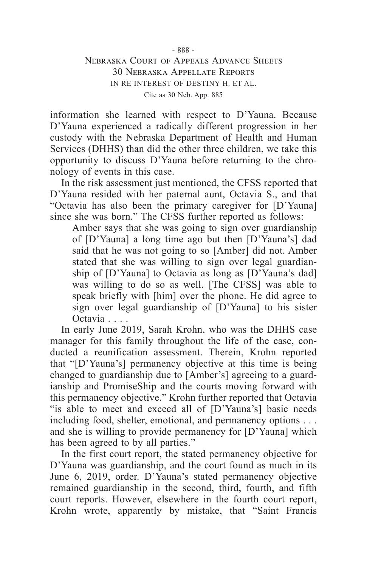information she learned with respect to D'Yauna. Because D'Yauna experienced a radically different progression in her custody with the Nebraska Department of Health and Human Services (DHHS) than did the other three children, we take this opportunity to discuss D'Yauna before returning to the chronology of events in this case.

In the risk assessment just mentioned, the CFSS reported that D'Yauna resided with her paternal aunt, Octavia S., and that "Octavia has also been the primary caregiver for [D'Yauna] since she was born." The CFSS further reported as follows:

Amber says that she was going to sign over guardianship of [D'Yauna] a long time ago but then [D'Yauna's] dad said that he was not going to so [Amber] did not. Amber stated that she was willing to sign over legal guardianship of [D'Yauna] to Octavia as long as [D'Yauna's dad] was willing to do so as well. [The CFSS] was able to speak briefly with [him] over the phone. He did agree to sign over legal guardianship of [D'Yauna] to his sister Octavia . . . .

In early June 2019, Sarah Krohn, who was the DHHS case manager for this family throughout the life of the case, conducted a reunification assessment. Therein, Krohn reported that "[D'Yauna's] permanency objective at this time is being changed to guardianship due to [Amber's] agreeing to a guardianship and PromiseShip and the courts moving forward with this permanency objective." Krohn further reported that Octavia "is able to meet and exceed all of [D'Yauna's] basic needs including food, shelter, emotional, and permanency options . . . and she is willing to provide permanency for [D'Yauna] which has been agreed to by all parties."

In the first court report, the stated permanency objective for D'Yauna was guardianship, and the court found as much in its June 6, 2019, order. D'Yauna's stated permanency objective remained guardianship in the second, third, fourth, and fifth court reports. However, elsewhere in the fourth court report, Krohn wrote, apparently by mistake, that "Saint Francis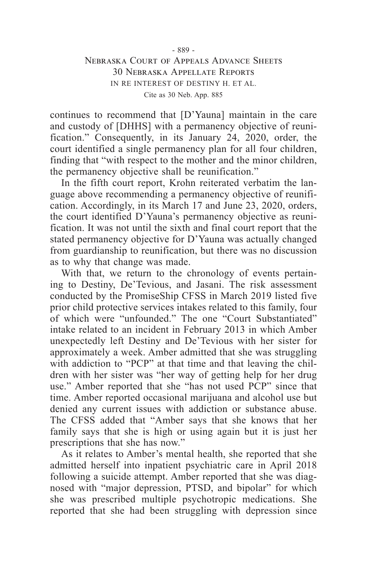continues to recommend that [D'Yauna] maintain in the care and custody of [DHHS] with a permanency objective of reunification." Consequently, in its January 24, 2020, order, the court identified a single permanency plan for all four children, finding that "with respect to the mother and the minor children, the permanency objective shall be reunification."

In the fifth court report, Krohn reiterated verbatim the language above recommending a permanency objective of reunification. Accordingly, in its March 17 and June 23, 2020, orders, the court identified D'Yauna's permanency objective as reunification. It was not until the sixth and final court report that the stated permanency objective for D'Yauna was actually changed from guardianship to reunification, but there was no discussion as to why that change was made.

With that, we return to the chronology of events pertaining to Destiny, De'Tevious, and Jasani. The risk assessment conducted by the PromiseShip CFSS in March 2019 listed five prior child protective services intakes related to this family, four of which were "unfounded." The one "Court Substantiated" intake related to an incident in February 2013 in which Amber unexpectedly left Destiny and De'Tevious with her sister for approximately a week. Amber admitted that she was struggling with addiction to "PCP" at that time and that leaving the children with her sister was "her way of getting help for her drug use." Amber reported that she "has not used PCP" since that time. Amber reported occasional marijuana and alcohol use but denied any current issues with addiction or substance abuse. The CFSS added that "Amber says that she knows that her family says that she is high or using again but it is just her prescriptions that she has now."

As it relates to Amber's mental health, she reported that she admitted herself into inpatient psychiatric care in April 2018 following a suicide attempt. Amber reported that she was diagnosed with "major depression, PTSD, and bipolar" for which she was prescribed multiple psychotropic medications. She reported that she had been struggling with depression since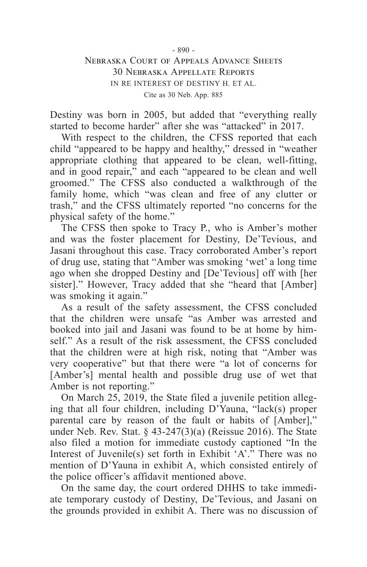Destiny was born in 2005, but added that "everything really started to become harder" after she was "attacked" in 2017.

With respect to the children, the CFSS reported that each child "appeared to be happy and healthy," dressed in "weather appropriate clothing that appeared to be clean, well-fitting, and in good repair," and each "appeared to be clean and well groomed." The CFSS also conducted a walkthrough of the family home, which "was clean and free of any clutter or trash," and the CFSS ultimately reported "no concerns for the physical safety of the home."

The CFSS then spoke to Tracy P., who is Amber's mother and was the foster placement for Destiny, De'Tevious, and Jasani throughout this case. Tracy corroborated Amber's report of drug use, stating that "Amber was smoking 'wet' a long time ago when she dropped Destiny and [De'Tevious] off with [her sister]." However, Tracy added that she "heard that [Amber] was smoking it again."

As a result of the safety assessment, the CFSS concluded that the children were unsafe "as Amber was arrested and booked into jail and Jasani was found to be at home by himself." As a result of the risk assessment, the CFSS concluded that the children were at high risk, noting that "Amber was very cooperative" but that there were "a lot of concerns for [Amber's] mental health and possible drug use of wet that Amber is not reporting."

On March 25, 2019, the State filed a juvenile petition alleging that all four children, including D'Yauna, "lack(s) proper parental care by reason of the fault or habits of [Amber]," under Neb. Rev. Stat.  $\frac{6}{7}$  43-247(3)(a) (Reissue 2016). The State also filed a motion for immediate custody captioned "In the Interest of Juvenile(s) set forth in Exhibit 'A'." There was no mention of D'Yauna in exhibit A, which consisted entirely of the police officer's affidavit mentioned above.

On the same day, the court ordered DHHS to take immediate temporary custody of Destiny, De'Tevious, and Jasani on the grounds provided in exhibit A. There was no discussion of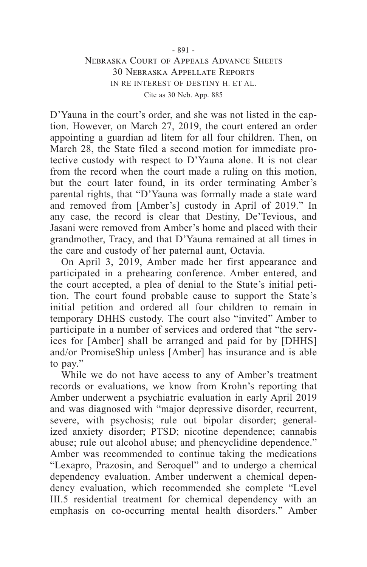D'Yauna in the court's order, and she was not listed in the caption. However, on March 27, 2019, the court entered an order appointing a guardian ad litem for all four children. Then, on March 28, the State filed a second motion for immediate protective custody with respect to D'Yauna alone. It is not clear from the record when the court made a ruling on this motion, but the court later found, in its order terminating Amber's parental rights, that "D'Yauna was formally made a state ward and removed from [Amber's] custody in April of 2019." In any case, the record is clear that Destiny, De'Tevious, and Jasani were removed from Amber's home and placed with their grandmother, Tracy, and that D'Yauna remained at all times in the care and custody of her paternal aunt, Octavia.

On April 3, 2019, Amber made her first appearance and participated in a prehearing conference. Amber entered, and the court accepted, a plea of denial to the State's initial petition. The court found probable cause to support the State's initial petition and ordered all four children to remain in temporary DHHS custody. The court also "invited" Amber to participate in a number of services and ordered that "the services for [Amber] shall be arranged and paid for by [DHHS] and/or PromiseShip unless [Amber] has insurance and is able to pay."

While we do not have access to any of Amber's treatment records or evaluations, we know from Krohn's reporting that Amber underwent a psychiatric evaluation in early April 2019 and was diagnosed with "major depressive disorder, recurrent, severe, with psychosis; rule out bipolar disorder; generalized anxiety disorder; PTSD; nicotine dependence; cannabis abuse; rule out alcohol abuse; and phencyclidine dependence." Amber was recommended to continue taking the medications "Lexapro, Prazosin, and Seroquel" and to undergo a chemical dependency evaluation. Amber underwent a chemical dependency evaluation, which recommended she complete "Level III.5 residential treatment for chemical dependency with an emphasis on co-occurring mental health disorders." Amber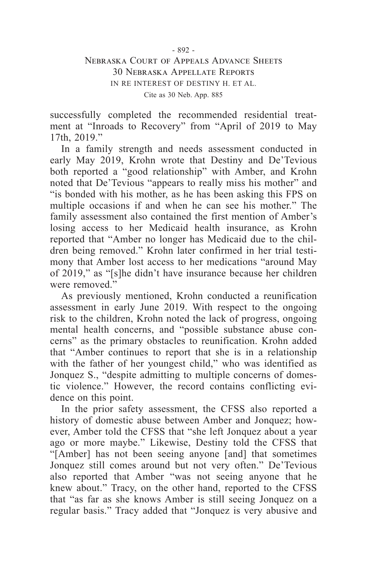successfully completed the recommended residential treatment at "Inroads to Recovery" from "April of 2019 to May 17th, 2019."

In a family strength and needs assessment conducted in early May 2019, Krohn wrote that Destiny and De'Tevious both reported a "good relationship" with Amber, and Krohn noted that De'Tevious "appears to really miss his mother" and "is bonded with his mother, as he has been asking this FPS on multiple occasions if and when he can see his mother." The family assessment also contained the first mention of Amber's losing access to her Medicaid health insurance, as Krohn reported that "Amber no longer has Medicaid due to the children being removed." Krohn later confirmed in her trial testimony that Amber lost access to her medications "around May of 2019," as "[s]he didn't have insurance because her children were removed."

As previously mentioned, Krohn conducted a reunification assessment in early June 2019. With respect to the ongoing risk to the children, Krohn noted the lack of progress, ongoing mental health concerns, and "possible substance abuse concerns" as the primary obstacles to reunification. Krohn added that "Amber continues to report that she is in a relationship with the father of her youngest child," who was identified as Jonquez S., "despite admitting to multiple concerns of domestic violence." However, the record contains conflicting evidence on this point.

In the prior safety assessment, the CFSS also reported a history of domestic abuse between Amber and Jonquez; however, Amber told the CFSS that "she left Jonquez about a year ago or more maybe." Likewise, Destiny told the CFSS that "[Amber] has not been seeing anyone [and] that sometimes Jonquez still comes around but not very often." De'Tevious also reported that Amber "was not seeing anyone that he knew about." Tracy, on the other hand, reported to the CFSS that "as far as she knows Amber is still seeing Jonquez on a regular basis." Tracy added that "Jonquez is very abusive and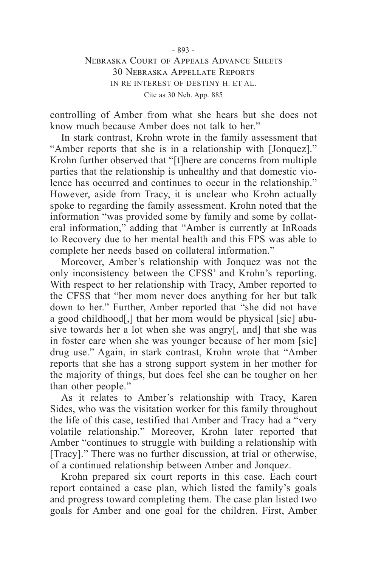controlling of Amber from what she hears but she does not know much because Amber does not talk to her."

In stark contrast, Krohn wrote in the family assessment that "Amber reports that she is in a relationship with [Jonquez]." Krohn further observed that "[t]here are concerns from multiple parties that the relationship is unhealthy and that domestic violence has occurred and continues to occur in the relationship." However, aside from Tracy, it is unclear who Krohn actually spoke to regarding the family assessment. Krohn noted that the information "was provided some by family and some by collateral information," adding that "Amber is currently at InRoads to Recovery due to her mental health and this FPS was able to complete her needs based on collateral information."

Moreover, Amber's relationship with Jonquez was not the only inconsistency between the CFSS' and Krohn's reporting. With respect to her relationship with Tracy, Amber reported to the CFSS that "her mom never does anything for her but talk down to her." Further, Amber reported that "she did not have a good childhood[,] that her mom would be physical [sic] abusive towards her a lot when she was angry[, and] that she was in foster care when she was younger because of her mom [sic] drug use." Again, in stark contrast, Krohn wrote that "Amber reports that she has a strong support system in her mother for the majority of things, but does feel she can be tougher on her than other people."

As it relates to Amber's relationship with Tracy, Karen Sides, who was the visitation worker for this family throughout the life of this case, testified that Amber and Tracy had a "very volatile relationship." Moreover, Krohn later reported that Amber "continues to struggle with building a relationship with [Tracy]." There was no further discussion, at trial or otherwise, of a continued relationship between Amber and Jonquez.

Krohn prepared six court reports in this case. Each court report contained a case plan, which listed the family's goals and progress toward completing them. The case plan listed two goals for Amber and one goal for the children. First, Amber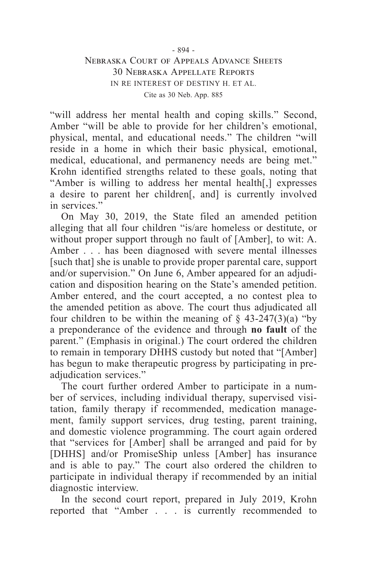"will address her mental health and coping skills." Second, Amber "will be able to provide for her children's emotional, physical, mental, and educational needs." The children "will reside in a home in which their basic physical, emotional, medical, educational, and permanency needs are being met." Krohn identified strengths related to these goals, noting that "Amber is willing to address her mental health[,] expresses a desire to parent her children[, and] is currently involved in services."

On May 30, 2019, the State filed an amended petition alleging that all four children "is/are homeless or destitute, or without proper support through no fault of [Amber], to wit: A. Amber . . . has been diagnosed with severe mental illnesses [such that] she is unable to provide proper parental care, support and/or supervision." On June 6, Amber appeared for an adjudication and disposition hearing on the State's amended petition. Amber entered, and the court accepted, a no contest plea to the amended petition as above. The court thus adjudicated all four children to be within the meaning of  $\S$  43-247(3)(a) "by a preponderance of the evidence and through **no fault** of the parent." (Emphasis in original.) The court ordered the children to remain in temporary DHHS custody but noted that "[Amber] has begun to make therapeutic progress by participating in preadjudication services."

The court further ordered Amber to participate in a number of services, including individual therapy, supervised visitation, family therapy if recommended, medication management, family support services, drug testing, parent training, and domestic violence programming. The court again ordered that "services for [Amber] shall be arranged and paid for by [DHHS] and/or PromiseShip unless [Amber] has insurance and is able to pay." The court also ordered the children to participate in individual therapy if recommended by an initial diagnostic interview.

In the second court report, prepared in July 2019, Krohn reported that "Amber . . . is currently recommended to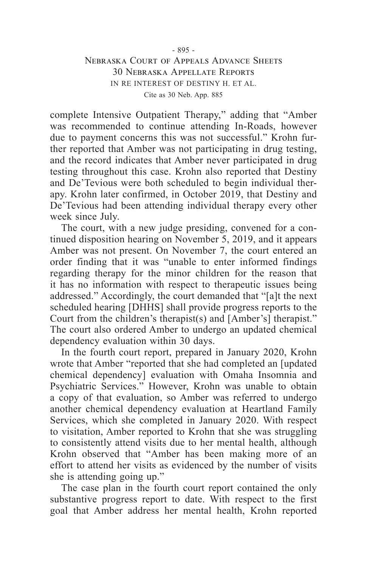complete Intensive Outpatient Therapy," adding that "Amber was recommended to continue attending In-Roads, however due to payment concerns this was not successful." Krohn further reported that Amber was not participating in drug testing, and the record indicates that Amber never participated in drug testing throughout this case. Krohn also reported that Destiny and De'Tevious were both scheduled to begin individual therapy. Krohn later confirmed, in October 2019, that Destiny and De'Tevious had been attending individual therapy every other week since July.

The court, with a new judge presiding, convened for a continued disposition hearing on November 5, 2019, and it appears Amber was not present. On November 7, the court entered an order finding that it was "unable to enter informed findings regarding therapy for the minor children for the reason that it has no information with respect to therapeutic issues being addressed." Accordingly, the court demanded that "[a]t the next scheduled hearing [DHHS] shall provide progress reports to the Court from the children's therapist(s) and [Amber's] therapist." The court also ordered Amber to undergo an updated chemical dependency evaluation within 30 days.

In the fourth court report, prepared in January 2020, Krohn wrote that Amber "reported that she had completed an [updated chemical dependency] evaluation with Omaha Insomnia and Psychiatric Services." However, Krohn was unable to obtain a copy of that evaluation, so Amber was referred to undergo another chemical dependency evaluation at Heartland Family Services, which she completed in January 2020. With respect to visitation, Amber reported to Krohn that she was struggling to consistently attend visits due to her mental health, although Krohn observed that "Amber has been making more of an effort to attend her visits as evidenced by the number of visits she is attending going up."

The case plan in the fourth court report contained the only substantive progress report to date. With respect to the first goal that Amber address her mental health, Krohn reported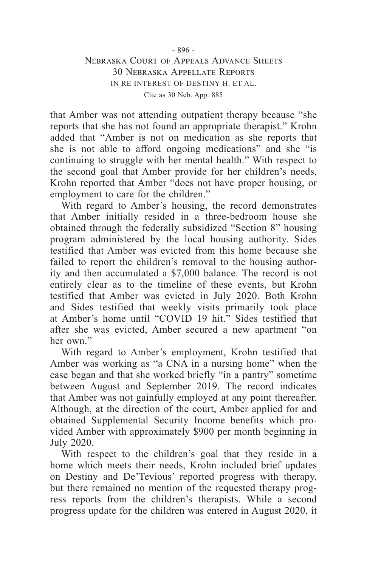that Amber was not attending outpatient therapy because "she reports that she has not found an appropriate therapist." Krohn added that "Amber is not on medication as she reports that she is not able to afford ongoing medications" and she "is continuing to struggle with her mental health." With respect to the second goal that Amber provide for her children's needs, Krohn reported that Amber "does not have proper housing, or employment to care for the children."

With regard to Amber's housing, the record demonstrates that Amber initially resided in a three-bedroom house she obtained through the federally subsidized "Section 8" housing program administered by the local housing authority. Sides testified that Amber was evicted from this home because she failed to report the children's removal to the housing authority and then accumulated a \$7,000 balance. The record is not entirely clear as to the timeline of these events, but Krohn testified that Amber was evicted in July 2020. Both Krohn and Sides testified that weekly visits primarily took place at Amber's home until "COVID 19 hit." Sides testified that after she was evicted, Amber secured a new apartment "on her own."

With regard to Amber's employment, Krohn testified that Amber was working as "a CNA in a nursing home" when the case began and that she worked briefly "in a pantry" sometime between August and September 2019. The record indicates that Amber was not gainfully employed at any point thereafter. Although, at the direction of the court, Amber applied for and obtained Supplemental Security Income benefits which provided Amber with approximately \$900 per month beginning in July 2020.

With respect to the children's goal that they reside in a home which meets their needs, Krohn included brief updates on Destiny and De'Tevious' reported progress with therapy, but there remained no mention of the requested therapy progress reports from the children's therapists. While a second progress update for the children was entered in August 2020, it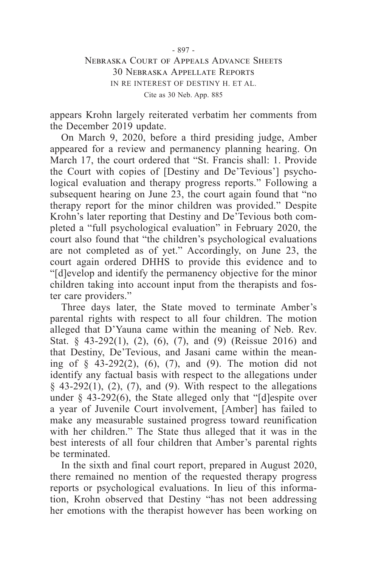appears Krohn largely reiterated verbatim her comments from the December 2019 update.

On March 9, 2020, before a third presiding judge, Amber appeared for a review and permanency planning hearing. On March 17, the court ordered that "St. Francis shall: 1. Provide the Court with copies of [Destiny and De'Tevious'] psychological evaluation and therapy progress reports." Following a subsequent hearing on June 23, the court again found that "no therapy report for the minor children was provided." Despite Krohn's later reporting that Destiny and De'Tevious both completed a "full psychological evaluation" in February 2020, the court also found that "the children's psychological evaluations are not completed as of yet." Accordingly, on June 23, the court again ordered DHHS to provide this evidence and to "[d]evelop and identify the permanency objective for the minor children taking into account input from the therapists and foster care providers."

Three days later, the State moved to terminate Amber's parental rights with respect to all four children. The motion alleged that D'Yauna came within the meaning of Neb. Rev. Stat. § 43-292(1), (2), (6), (7), and (9) (Reissue 2016) and that Destiny, De'Tevious, and Jasani came within the meaning of  $\S$  43-292(2), (6), (7), and (9). The motion did not identify any factual basis with respect to the allegations under  $§$  43-292(1), (2), (7), and (9). With respect to the allegations under  $§$  43-292(6), the State alleged only that "[d]espite over a year of Juvenile Court involvement, [Amber] has failed to make any measurable sustained progress toward reunification with her children." The State thus alleged that it was in the best interests of all four children that Amber's parental rights be terminated.

In the sixth and final court report, prepared in August 2020, there remained no mention of the requested therapy progress reports or psychological evaluations. In lieu of this information, Krohn observed that Destiny "has not been addressing her emotions with the therapist however has been working on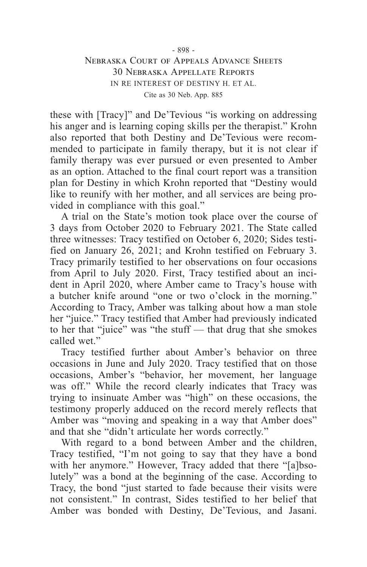#### - 898 -

### Nebraska Court of Appeals Advance Sheets 30 Nebraska Appellate Reports IN RE INTEREST OF DESTINY H. ET AL. Cite as 30 Neb. App. 885

these with [Tracy]" and De'Tevious "is working on addressing his anger and is learning coping skills per the therapist." Krohn also reported that both Destiny and De'Tevious were recommended to participate in family therapy, but it is not clear if family therapy was ever pursued or even presented to Amber as an option. Attached to the final court report was a transition plan for Destiny in which Krohn reported that "Destiny would like to reunify with her mother, and all services are being provided in compliance with this goal."

A trial on the State's motion took place over the course of 3 days from October 2020 to February 2021. The State called three witnesses: Tracy testified on October 6, 2020; Sides testified on January 26, 2021; and Krohn testified on February 3. Tracy primarily testified to her observations on four occasions from April to July 2020. First, Tracy testified about an incident in April 2020, where Amber came to Tracy's house with a butcher knife around "one or two o'clock in the morning." According to Tracy, Amber was talking about how a man stole her "juice." Tracy testified that Amber had previously indicated to her that "juice" was "the stuff — that drug that she smokes called wet."

Tracy testified further about Amber's behavior on three occasions in June and July 2020. Tracy testified that on those occasions, Amber's "behavior, her movement, her language was off." While the record clearly indicates that Tracy was trying to insinuate Amber was "high" on these occasions, the testimony properly adduced on the record merely reflects that Amber was "moving and speaking in a way that Amber does" and that she "didn't articulate her words correctly."

With regard to a bond between Amber and the children, Tracy testified, "I'm not going to say that they have a bond with her anymore." However, Tracy added that there "[a]bsolutely" was a bond at the beginning of the case. According to Tracy, the bond "just started to fade because their visits were not consistent." In contrast, Sides testified to her belief that Amber was bonded with Destiny, De'Tevious, and Jasani.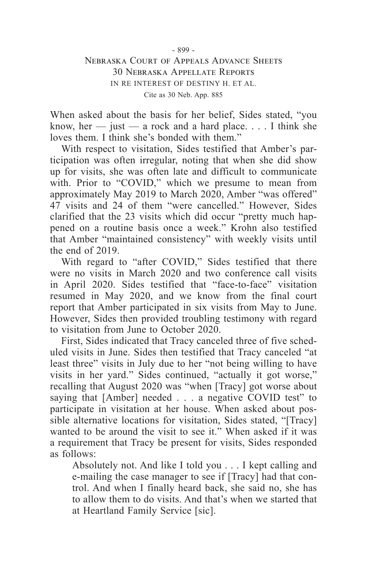When asked about the basis for her belief, Sides stated, "you know, her  $-$  just  $-$  a rock and a hard place.  $\ldots$  I think she loves them. I think she's bonded with them."

With respect to visitation, Sides testified that Amber's participation was often irregular, noting that when she did show up for visits, she was often late and difficult to communicate with. Prior to "COVID," which we presume to mean from approximately May 2019 to March 2020, Amber "was offered" 47 visits and 24 of them "were cancelled." However, Sides clarified that the 23 visits which did occur "pretty much happened on a routine basis once a week." Krohn also testified that Amber "maintained consistency" with weekly visits until the end of 2019.

With regard to "after COVID," Sides testified that there were no visits in March 2020 and two conference call visits in April 2020. Sides testified that "face-to-face" visitation resumed in May 2020, and we know from the final court report that Amber participated in six visits from May to June. However, Sides then provided troubling testimony with regard to visitation from June to October 2020.

First, Sides indicated that Tracy canceled three of five scheduled visits in June. Sides then testified that Tracy canceled "at least three" visits in July due to her "not being willing to have visits in her yard." Sides continued, "actually it got worse," recalling that August 2020 was "when [Tracy] got worse about saying that [Amber] needed . . . a negative COVID test" to participate in visitation at her house. When asked about possible alternative locations for visitation, Sides stated, "[Tracy] wanted to be around the visit to see it." When asked if it was a requirement that Tracy be present for visits, Sides responded as follows:

Absolutely not. And like I told you . . . I kept calling and e-mailing the case manager to see if [Tracy] had that control. And when I finally heard back, she said no, she has to allow them to do visits. And that's when we started that at Heartland Family Service [sic].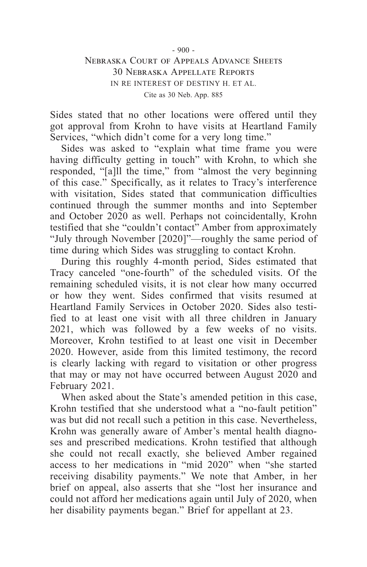Sides stated that no other locations were offered until they got approval from Krohn to have visits at Heartland Family Services, "which didn't come for a very long time."

Sides was asked to "explain what time frame you were having difficulty getting in touch" with Krohn, to which she responded, "[a]ll the time," from "almost the very beginning of this case." Specifically, as it relates to Tracy's interference with visitation, Sides stated that communication difficulties continued through the summer months and into September and October 2020 as well. Perhaps not coincidentally, Krohn testified that she "couldn't contact" Amber from approximately "July through November [2020]"—roughly the same period of time during which Sides was struggling to contact Krohn.

During this roughly 4-month period, Sides estimated that Tracy canceled "one-fourth" of the scheduled visits. Of the remaining scheduled visits, it is not clear how many occurred or how they went. Sides confirmed that visits resumed at Heartland Family Services in October 2020. Sides also testified to at least one visit with all three children in January 2021, which was followed by a few weeks of no visits. Moreover, Krohn testified to at least one visit in December 2020. However, aside from this limited testimony, the record is clearly lacking with regard to visitation or other progress that may or may not have occurred between August 2020 and February 2021.

When asked about the State's amended petition in this case, Krohn testified that she understood what a "no-fault petition" was but did not recall such a petition in this case. Nevertheless, Krohn was generally aware of Amber's mental health diagnoses and prescribed medications. Krohn testified that although she could not recall exactly, she believed Amber regained access to her medications in "mid 2020" when "she started receiving disability payments." We note that Amber, in her brief on appeal, also asserts that she "lost her insurance and could not afford her medications again until July of 2020, when her disability payments began." Brief for appellant at 23.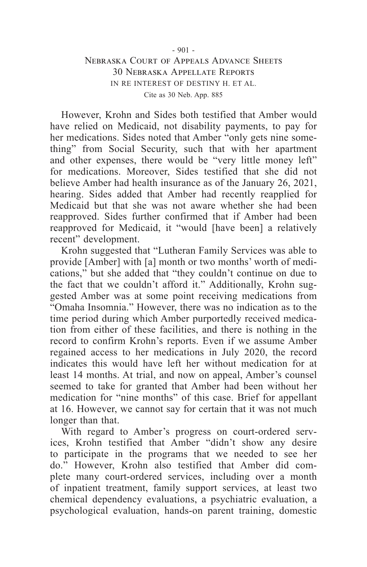However, Krohn and Sides both testified that Amber would have relied on Medicaid, not disability payments, to pay for her medications. Sides noted that Amber "only gets nine something" from Social Security, such that with her apartment and other expenses, there would be "very little money left" for medications. Moreover, Sides testified that she did not believe Amber had health insurance as of the January 26, 2021, hearing. Sides added that Amber had recently reapplied for Medicaid but that she was not aware whether she had been reapproved. Sides further confirmed that if Amber had been reapproved for Medicaid, it "would [have been] a relatively recent" development.

Krohn suggested that "Lutheran Family Services was able to provide [Amber] with [a] month or two months' worth of medications," but she added that "they couldn't continue on due to the fact that we couldn't afford it." Additionally, Krohn suggested Amber was at some point receiving medications from "Omaha Insomnia." However, there was no indication as to the time period during which Amber purportedly received medication from either of these facilities, and there is nothing in the record to confirm Krohn's reports. Even if we assume Amber regained access to her medications in July 2020, the record indicates this would have left her without medication for at least 14 months. At trial, and now on appeal, Amber's counsel seemed to take for granted that Amber had been without her medication for "nine months" of this case. Brief for appellant at 16. However, we cannot say for certain that it was not much longer than that.

With regard to Amber's progress on court-ordered services, Krohn testified that Amber "didn't show any desire to participate in the programs that we needed to see her do." However, Krohn also testified that Amber did complete many court-ordered services, including over a month of inpatient treatment, family support services, at least two chemical dependency evaluations, a psychiatric evaluation, a psychological evaluation, hands-on parent training, domestic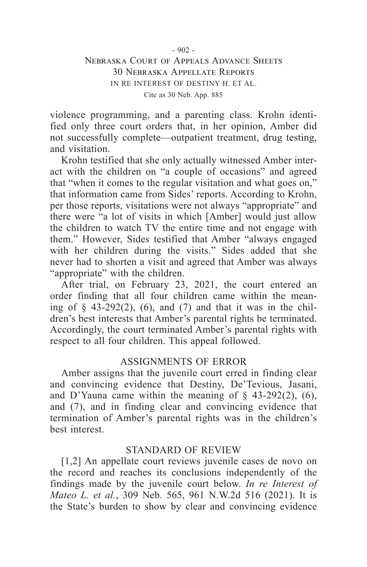violence programming, and a parenting class. Krohn identified only three court orders that, in her opinion, Amber did not successfully complete—outpatient treatment, drug testing, and visitation.

Krohn testified that she only actually witnessed Amber interact with the children on "a couple of occasions" and agreed that "when it comes to the regular visitation and what goes on," that information came from Sides' reports. According to Krohn, per those reports, visitations were not always "appropriate" and there were "a lot of visits in which [Amber] would just allow the children to watch TV the entire time and not engage with them." However, Sides testified that Amber "always engaged with her children during the visits." Sides added that she never had to shorten a visit and agreed that Amber was always "appropriate" with the children.

After trial, on February 23, 2021, the court entered an order finding that all four children came within the meaning of  $\S$  43-292(2), (6), and (7) and that it was in the children's best interests that Amber's parental rights be terminated. Accordingly, the court terminated Amber's parental rights with respect to all four children. This appeal followed.

#### ASSIGNMENTS OF ERROR

Amber assigns that the juvenile court erred in finding clear and convincing evidence that Destiny, De'Tevious, Jasani, and D'Yauna came within the meaning of  $\S$  43-292(2), (6), and (7), and in finding clear and convincing evidence that termination of Amber's parental rights was in the children's best interest.

#### STANDARD OF REVIEW

[1,2] An appellate court reviews juvenile cases de novo on the record and reaches its conclusions independently of the findings made by the juvenile court below. *In re Interest of Mateo L. et al.*, 309 Neb. 565, 961 N.W.2d 516 (2021). It is the State's burden to show by clear and convincing evidence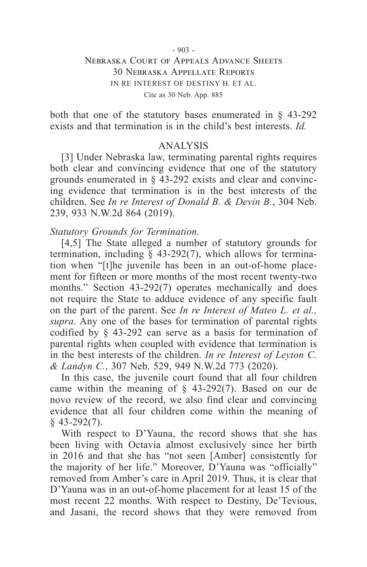both that one of the statutory bases enumerated in § 43-292 exists and that termination is in the child's best interests. *Id.*

#### ANALYSIS

[3] Under Nebraska law, terminating parental rights requires both clear and convincing evidence that one of the statutory grounds enumerated in § 43-292 exists and clear and convincing evidence that termination is in the best interests of the children. See *In re Interest of Donald B. & Devin B.*, 304 Neb. 239, 933 N.W.2d 864 (2019).

### *Statutory Grounds for Termination.*

[4,5] The State alleged a number of statutory grounds for termination, including § 43-292(7), which allows for termination when "[t]he juvenile has been in an out-of-home placement for fifteen or more months of the most recent twenty-two months." Section 43-292(7) operates mechanically and does not require the State to adduce evidence of any specific fault on the part of the parent. See *In re Interest of Mateo L. et al., supra*. Any one of the bases for termination of parental rights codified by § 43-292 can serve as a basis for termination of parental rights when coupled with evidence that termination is in the best interests of the children. *In re Interest of Leyton C. & Landyn C.*, 307 Neb. 529, 949 N.W.2d 773 (2020).

In this case, the juvenile court found that all four children came within the meaning of  $\S$  43-292(7). Based on our de novo review of the record, we also find clear and convincing evidence that all four children come within the meaning of  $§$  43-292(7).

With respect to D'Yauna, the record shows that she has been living with Octavia almost exclusively since her birth in 2016 and that she has "not seen [Amber] consistently for the majority of her life." Moreover, D'Yauna was "officially" removed from Amber's care in April 2019. Thus, it is clear that D'Yauna was in an out-of-home placement for at least 15 of the most recent 22 months. With respect to Destiny, De'Tevious, and Jasani, the record shows that they were removed from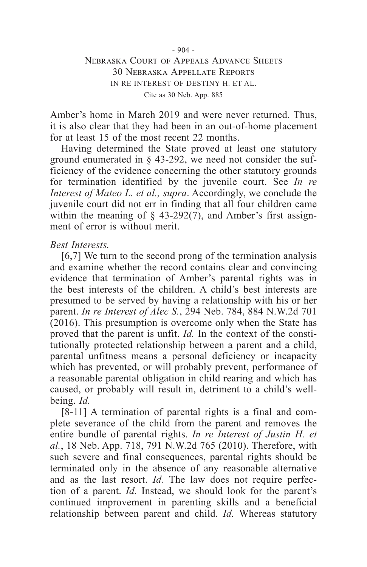Amber's home in March 2019 and were never returned. Thus, it is also clear that they had been in an out-of-home placement for at least 15 of the most recent 22 months.

Having determined the State proved at least one statutory ground enumerated in § 43-292, we need not consider the sufficiency of the evidence concerning the other statutory grounds for termination identified by the juvenile court. See *In re Interest of Mateo L. et al., supra*. Accordingly, we conclude the juvenile court did not err in finding that all four children came within the meaning of  $\S$  43-292(7), and Amber's first assignment of error is without merit.

#### *Best Interests.*

[6,7] We turn to the second prong of the termination analysis and examine whether the record contains clear and convincing evidence that termination of Amber's parental rights was in the best interests of the children. A child's best interests are presumed to be served by having a relationship with his or her parent. *In re Interest of Alec S.*, 294 Neb. 784, 884 N.W.2d 701 (2016). This presumption is overcome only when the State has proved that the parent is unfit. *Id.* In the context of the constitutionally protected relationship between a parent and a child, parental unfitness means a personal deficiency or incapacity which has prevented, or will probably prevent, performance of a reasonable parental obligation in child rearing and which has caused, or probably will result in, detriment to a child's wellbeing. *Id.*

[8-11] A termination of parental rights is a final and complete severance of the child from the parent and removes the entire bundle of parental rights. *In re Interest of Justin H. et al.*, 18 Neb. App. 718, 791 N.W.2d 765 (2010). Therefore, with such severe and final consequences, parental rights should be terminated only in the absence of any reasonable alternative and as the last resort. *Id.* The law does not require perfection of a parent. *Id.* Instead, we should look for the parent's continued improvement in parenting skills and a beneficial relationship between parent and child. *Id.* Whereas statutory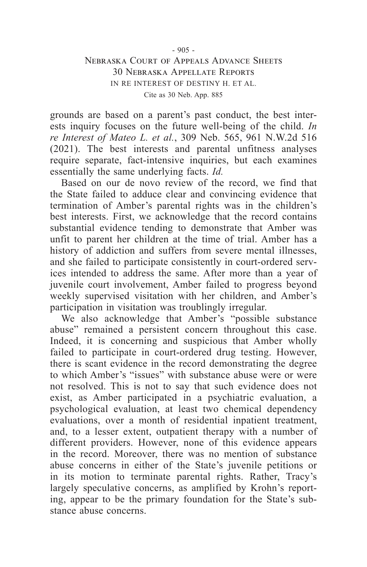grounds are based on a parent's past conduct, the best interests inquiry focuses on the future well-being of the child. *In re Interest of Mateo L. et al.*, 309 Neb. 565, 961 N.W.2d 516 (2021). The best interests and parental unfitness analyses require separate, fact-intensive inquiries, but each examines essentially the same underlying facts. *Id.*

Based on our de novo review of the record, we find that the State failed to adduce clear and convincing evidence that termination of Amber's parental rights was in the children's best interests. First, we acknowledge that the record contains substantial evidence tending to demonstrate that Amber was unfit to parent her children at the time of trial. Amber has a history of addiction and suffers from severe mental illnesses, and she failed to participate consistently in court-ordered services intended to address the same. After more than a year of juvenile court involvement, Amber failed to progress beyond weekly supervised visitation with her children, and Amber's participation in visitation was troublingly irregular.

We also acknowledge that Amber's "possible substance abuse" remained a persistent concern throughout this case. Indeed, it is concerning and suspicious that Amber wholly failed to participate in court-ordered drug testing. However, there is scant evidence in the record demonstrating the degree to which Amber's "issues" with substance abuse were or were not resolved. This is not to say that such evidence does not exist, as Amber participated in a psychiatric evaluation, a psychological evaluation, at least two chemical dependency evaluations, over a month of residential inpatient treatment, and, to a lesser extent, outpatient therapy with a number of different providers. However, none of this evidence appears in the record. Moreover, there was no mention of substance abuse concerns in either of the State's juvenile petitions or in its motion to terminate parental rights. Rather, Tracy's largely speculative concerns, as amplified by Krohn's reporting, appear to be the primary foundation for the State's substance abuse concerns.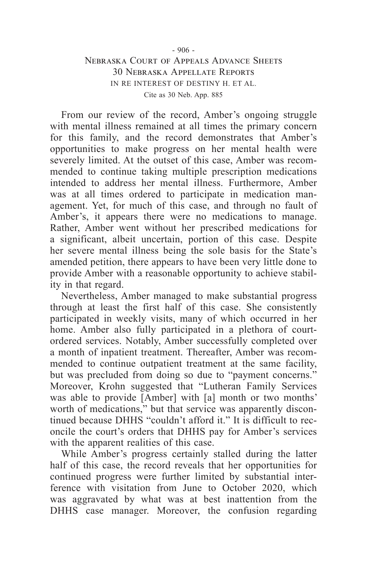From our review of the record, Amber's ongoing struggle with mental illness remained at all times the primary concern for this family, and the record demonstrates that Amber's opportunities to make progress on her mental health were severely limited. At the outset of this case, Amber was recommended to continue taking multiple prescription medications intended to address her mental illness. Furthermore, Amber was at all times ordered to participate in medication management. Yet, for much of this case, and through no fault of Amber's, it appears there were no medications to manage. Rather, Amber went without her prescribed medications for a significant, albeit uncertain, portion of this case. Despite her severe mental illness being the sole basis for the State's amended petition, there appears to have been very little done to provide Amber with a reasonable opportunity to achieve stability in that regard.

Nevertheless, Amber managed to make substantial progress through at least the first half of this case. She consistently participated in weekly visits, many of which occurred in her home. Amber also fully participated in a plethora of courtordered services. Notably, Amber successfully completed over a month of inpatient treatment. Thereafter, Amber was recommended to continue outpatient treatment at the same facility, but was precluded from doing so due to "payment concerns." Moreover, Krohn suggested that "Lutheran Family Services was able to provide [Amber] with [a] month or two months' worth of medications," but that service was apparently discontinued because DHHS "couldn't afford it." It is difficult to reconcile the court's orders that DHHS pay for Amber's services with the apparent realities of this case.

While Amber's progress certainly stalled during the latter half of this case, the record reveals that her opportunities for continued progress were further limited by substantial interference with visitation from June to October 2020, which was aggravated by what was at best inattention from the DHHS case manager. Moreover, the confusion regarding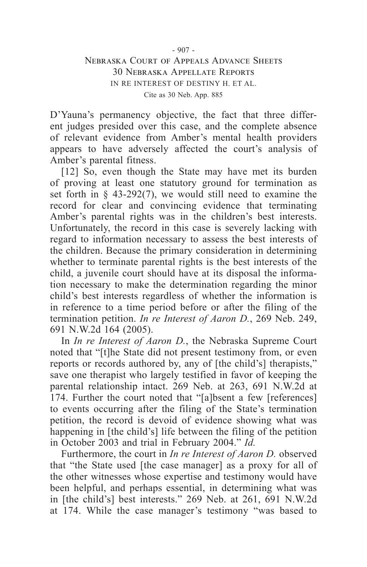D'Yauna's permanency objective, the fact that three different judges presided over this case, and the complete absence of relevant evidence from Amber's mental health providers appears to have adversely affected the court's analysis of Amber's parental fitness.

[12] So, even though the State may have met its burden of proving at least one statutory ground for termination as set forth in § 43-292(7), we would still need to examine the record for clear and convincing evidence that terminating Amber's parental rights was in the children's best interests. Unfortunately, the record in this case is severely lacking with regard to information necessary to assess the best interests of the children. Because the primary consideration in determining whether to terminate parental rights is the best interests of the child, a juvenile court should have at its disposal the information necessary to make the determination regarding the minor child's best interests regardless of whether the information is in reference to a time period before or after the filing of the termination petition. *In re Interest of Aaron D.*, 269 Neb. 249, 691 N.W.2d 164 (2005).

In *In re Interest of Aaron D.*, the Nebraska Supreme Court noted that "[t]he State did not present testimony from, or even reports or records authored by, any of [the child's] therapists," save one therapist who largely testified in favor of keeping the parental relationship intact. 269 Neb. at 263, 691 N.W.2d at 174. Further the court noted that "[a]bsent a few [references] to events occurring after the filing of the State's termination petition, the record is devoid of evidence showing what was happening in [the child's] life between the filing of the petition in October 2003 and trial in February 2004." *Id.*

Furthermore, the court in *In re Interest of Aaron D.* observed that "the State used [the case manager] as a proxy for all of the other witnesses whose expertise and testimony would have been helpful, and perhaps essential, in determining what was in [the child's] best interests." 269 Neb. at 261, 691 N.W.2d at 174. While the case manager's testimony "was based to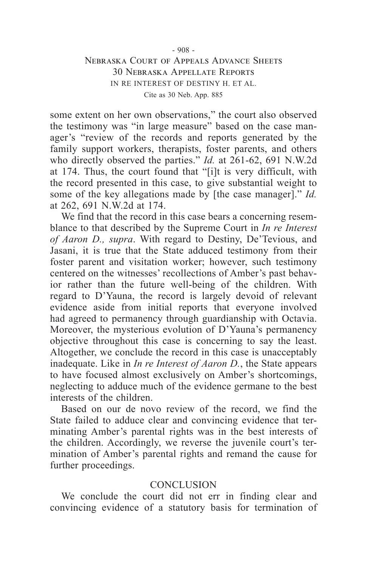### - 908 - Nebraska Court of Appeals Advance Sheets 30 Nebraska Appellate Reports IN RE INTEREST OF DESTINY H. ET AL.

Cite as 30 Neb. App. 885

some extent on her own observations," the court also observed the testimony was "in large measure" based on the case manager's "review of the records and reports generated by the family support workers, therapists, foster parents, and others who directly observed the parties." *Id.* at 261-62, 691 N.W.2d at 174. Thus, the court found that "[i]t is very difficult, with the record presented in this case, to give substantial weight to some of the key allegations made by [the case manager]." *Id.* at 262, 691 N.W.2d at 174.

We find that the record in this case bears a concerning resemblance to that described by the Supreme Court in *In re Interest of Aaron D., supra*. With regard to Destiny, De'Tevious, and Jasani, it is true that the State adduced testimony from their foster parent and visitation worker; however, such testimony centered on the witnesses' recollections of Amber's past behavior rather than the future well-being of the children. With regard to D'Yauna, the record is largely devoid of relevant evidence aside from initial reports that everyone involved had agreed to permanency through guardianship with Octavia. Moreover, the mysterious evolution of D'Yauna's permanency objective throughout this case is concerning to say the least. Altogether, we conclude the record in this case is unacceptably inadequate. Like in *In re Interest of Aaron D.*, the State appears to have focused almost exclusively on Amber's shortcomings, neglecting to adduce much of the evidence germane to the best interests of the children.

Based on our de novo review of the record, we find the State failed to adduce clear and convincing evidence that terminating Amber's parental rights was in the best interests of the children. Accordingly, we reverse the juvenile court's termination of Amber's parental rights and remand the cause for further proceedings.

#### **CONCLUSION**

We conclude the court did not err in finding clear and convincing evidence of a statutory basis for termination of